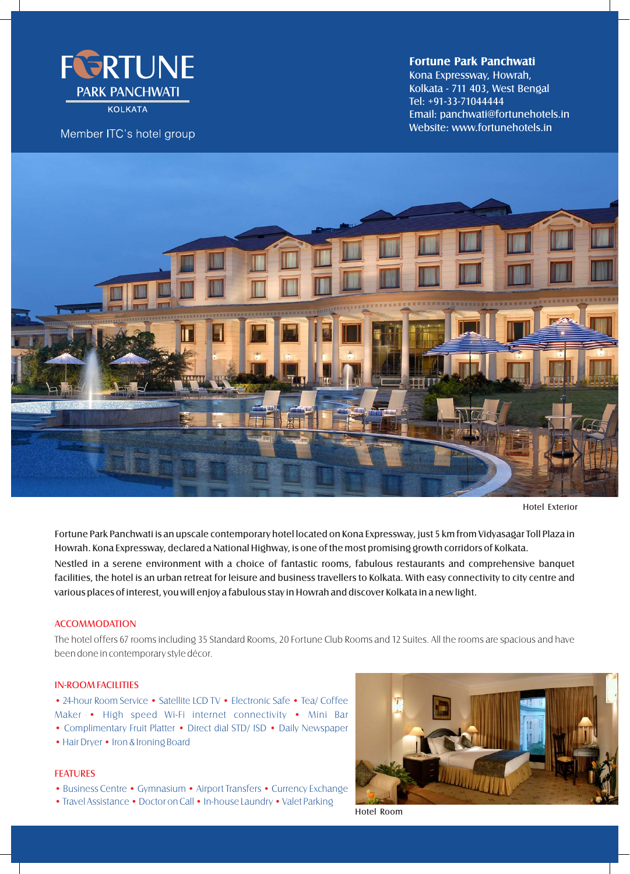

**KOLKATA** 

Member ITC's hotel group

## **Fortune Park Panchwati**

Kolkata - 711 403, West Bengal Email: panchwati@fortunehotels.in Tel: +91-33-71044444 Website: www.fortunehotels.in Kona Expressway, Howrah,



Hotel Exterior

Fortune Park Panchwati is an upscale contemporary hotel located on Kona Expressway, just 5 km from Vidyasagar Toll Plaza in Howrah. Kona Expressway, declared a National Highway, is one of the most promising growth corridors of Kolkata. Nestled in a serene environment with a choice of fantastic rooms, fabulous restaurants and comprehensive banquet facilities, the hotel is an urban retreat for leisure and business travellers to Kolkata. With easy connectivity to city centre and various places of interest, you will enjoy a fabulous stay in Howrah and discover Kolkata in a new light.

#### **ACCOMMODATION**

The hotel offers 67 rooms including 35 Standard Rooms, 20 Fortune Club Rooms and 12 Suites. All the rooms are spacious and have been done in contemporary style décor.

#### IN-ROOM FACILITIES

• 24-hour Room Service • Satellite LCD TV • Electronic Safe • Tea/ Coffee Maker • High speed Wi-Fi internet connectivity • Mini Bar • Complimentary Fruit Platter • Direct dial STD/ ISD • Daily Newspaper

• Hair Dryer • Iron & Ironing Board

# FEATURES

- Business Centre Gymnasium Airport Transfers Currency Exchange
- Travel Assistance Doctor on Call In-house Laundry Valet Parking



Hotel Room